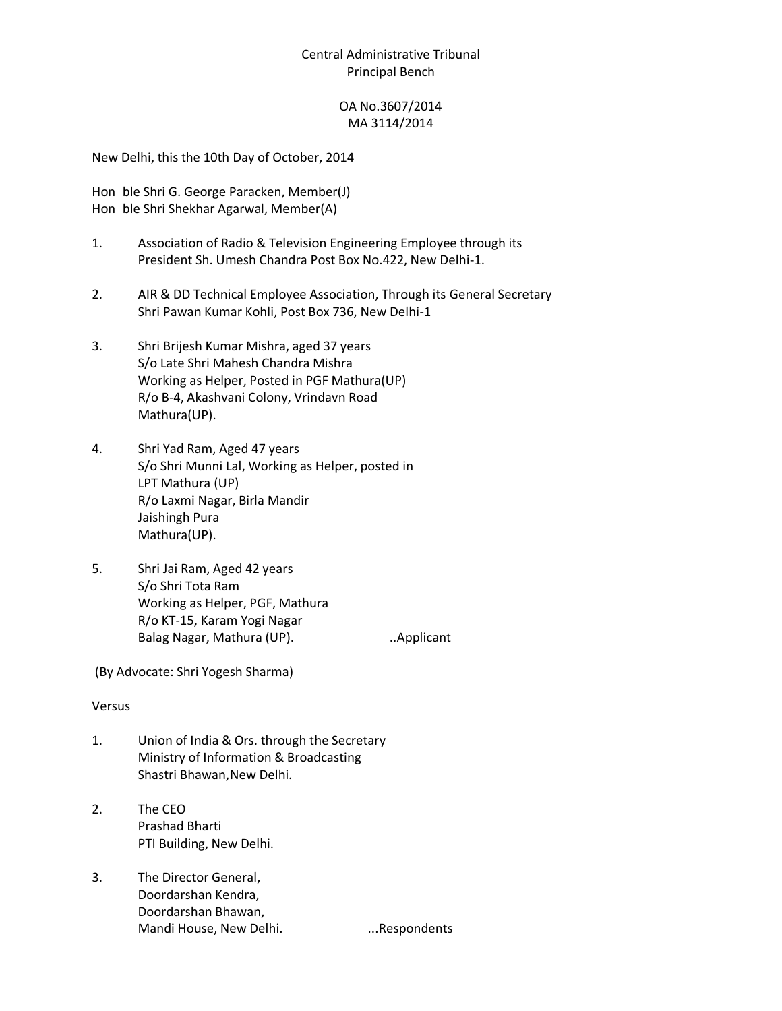# Central Administrative Tribunal Principal Bench

## OA No.3607/2014 MA 3114/2014

New Delhi, this the 10th Day of October, 2014

Hon ble Shri G. George Paracken, Member(J) Hon ble Shri Shekhar Agarwal, Member(A)

- 1. Association of Radio & Television Engineering Employee through its President Sh. Umesh Chandra Post Box No.422, New Delhi-1.
- 2. AIR & DD Technical Employee Association, Through its General Secretary Shri Pawan Kumar Kohli, Post Box 736, New Delhi-1
- 3. Shri Brijesh Kumar Mishra, aged 37 years S/o Late Shri Mahesh Chandra Mishra Working as Helper, Posted in PGF Mathura(UP) R/o B-4, Akashvani Colony, Vrindavn Road Mathura(UP).
- 4. Shri Yad Ram, Aged 47 years S/o Shri Munni Lal, Working as Helper, posted in LPT Mathura (UP) R/o Laxmi Nagar, Birla Mandir Jaishingh Pura Mathura(UP).
- 5. Shri Jai Ram, Aged 42 years S/o Shri Tota Ram Working as Helper, PGF, Mathura R/o KT-15, Karam Yogi Nagar Balag Nagar, Mathura (UP). **...** ... Applicant

(By Advocate: Shri Yogesh Sharma)

#### Versus

- 1. Union of India & Ors. through the Secretary Ministry of Information & Broadcasting Shastri Bhawan,New Delhi.
- 2. The CEO Prashad Bharti PTI Building, New Delhi.
- 3. The Director General, Doordarshan Kendra, Doordarshan Bhawan, Mandi House, New Delhi. ...Respondents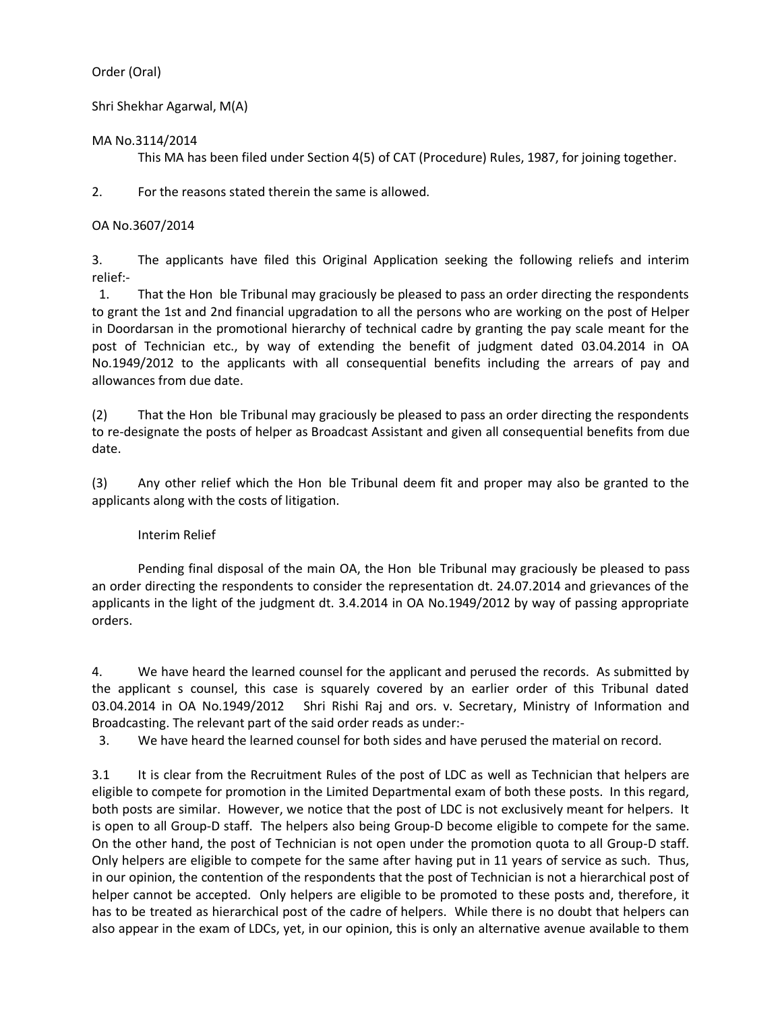### Order (Oral)

Shri Shekhar Agarwal, M(A)

## MA No.3114/2014

This MA has been filed under Section 4(5) of CAT (Procedure) Rules, 1987, for joining together.

2. For the reasons stated therein the same is allowed.

## OA No.3607/2014

3. The applicants have filed this Original Application seeking the following reliefs and interim relief:-

1. That the Hon ble Tribunal may graciously be pleased to pass an order directing the respondents to grant the 1st and 2nd financial upgradation to all the persons who are working on the post of Helper in Doordarsan in the promotional hierarchy of technical cadre by granting the pay scale meant for the post of Technician etc., by way of extending the benefit of judgment dated 03.04.2014 in OA No.1949/2012 to the applicants with all consequential benefits including the arrears of pay and allowances from due date.

(2) That the Hon ble Tribunal may graciously be pleased to pass an order directing the respondents to re-designate the posts of helper as Broadcast Assistant and given all consequential benefits from due date.

(3) Any other relief which the Hon ble Tribunal deem fit and proper may also be granted to the applicants along with the costs of litigation.

# Interim Relief

Pending final disposal of the main OA, the Hon ble Tribunal may graciously be pleased to pass an order directing the respondents to consider the representation dt. 24.07.2014 and grievances of the applicants in the light of the judgment dt. 3.4.2014 in OA No.1949/2012 by way of passing appropriate orders.

4. We have heard the learned counsel for the applicant and perused the records. As submitted by the applicant s counsel, this case is squarely covered by an earlier order of this Tribunal dated 03.04.2014 in OA No.1949/2012 Shri Rishi Raj and ors. v. Secretary, Ministry of Information and Broadcasting. The relevant part of the said order reads as under:-

3. We have heard the learned counsel for both sides and have perused the material on record.

3.1 It is clear from the Recruitment Rules of the post of LDC as well as Technician that helpers are eligible to compete for promotion in the Limited Departmental exam of both these posts. In this regard, both posts are similar. However, we notice that the post of LDC is not exclusively meant for helpers. It is open to all Group-D staff. The helpers also being Group-D become eligible to compete for the same. On the other hand, the post of Technician is not open under the promotion quota to all Group-D staff. Only helpers are eligible to compete for the same after having put in 11 years of service as such. Thus, in our opinion, the contention of the respondents that the post of Technician is not a hierarchical post of helper cannot be accepted. Only helpers are eligible to be promoted to these posts and, therefore, it has to be treated as hierarchical post of the cadre of helpers. While there is no doubt that helpers can also appear in the exam of LDCs, yet, in our opinion, this is only an alternative avenue available to them